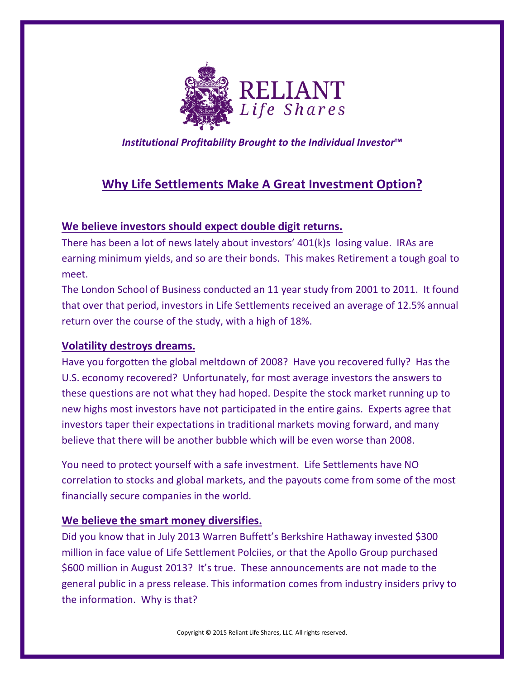

*Institutional Profitability Brought to the Individual Investor***™**

# **Why Life Settlements Make A Great Investment Option?**

### **We believe investors should expect double digit returns.**

There has been a lot of news lately about investors' 401(k)s losing value. IRAs are earning minimum yields, and so are their bonds. This makes Retirement a tough goal to meet.

The London School of Business conducted an 11 year study from 2001 to 2011. It found that over that period, investors in Life Settlements received an average of 12.5% annual return over the course of the study, with a high of 18%.

## **Volatility destroys dreams.**

Have you forgotten the global meltdown of 2008? Have you recovered fully? Has the U.S. economy recovered? Unfortunately, for most average investors the answers to these questions are not what they had hoped. Despite the stock market running up to new highs most investors have not participated in the entire gains. Experts agree that investors taper their expectations in traditional markets moving forward, and many believe that there will be another bubble which will be even worse than 2008.

You need to protect yourself with a safe investment. Life Settlements have NO correlation to stocks and global markets, and the payouts come from some of the most financially secure companies in the world.

#### **We believe the smart money diversifies.**

Did you know that in July 2013 Warren Buffett's Berkshire Hathaway invested \$300 million in face value of Life Settlement Polciies, or that the Apollo Group purchased \$600 million in August 2013? It's true. These announcements are not made to the general public in a press release. This information comes from industry insiders privy to the information. Why is that?